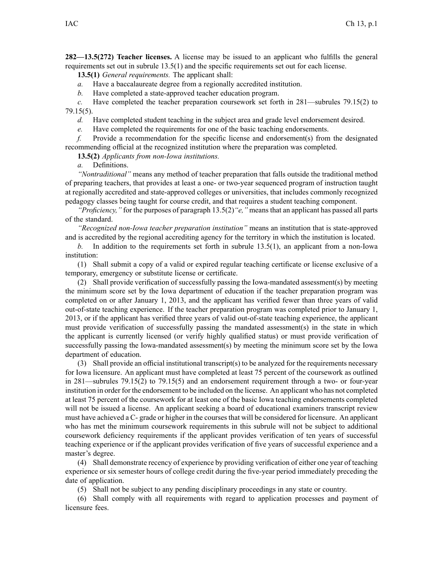**282—13.5(272) Teacher licenses.** A license may be issued to an applicant who fulfills the general requirements set out in subrule [13.5\(1\)](https://www.legis.iowa.gov/docs/iac/rule/282.13.5.pdf) and the specific requirements set out for each license.

**13.5(1)** *General requirements.* The applicant shall:

*a.* Have <sup>a</sup> baccalaureate degree from <sup>a</sup> regionally accredited institution.

*b.* Have completed <sup>a</sup> state-approved teacher education program.

*c.* Have completed the teacher preparation coursework set forth in [281—subrules](https://www.legis.iowa.gov/docs/iac/rule/281.79.15.pdf) 79.15(2) to [79.15\(5\)](https://www.legis.iowa.gov/docs/iac/rule/281.79.15.pdf).

*d.* Have completed student teaching in the subject area and grade level endorsement desired.

*e.* Have completed the requirements for one of the basic teaching endorsements.

*f.* Provide <sup>a</sup> recommendation for the specific license and endorsement(s) from the designated recommending official at the recognized institution where the preparation was completed.

**13.5(2)** *Applicants from non-Iowa institutions.*

*a.* Definitions.

*"Nontraditional"* means any method of teacher preparation that falls outside the traditional method of preparing teachers, that provides at least <sup>a</sup> one- or two-year sequenced program of instruction taught at regionally accredited and state-approved colleges or universities, that includes commonly recognized pedagogy classes being taught for course credit, and that requires <sup>a</sup> student teaching component.

*"Proficiency,"* for the purposes of paragraph [13.5\(2\)](https://www.legis.iowa.gov/docs/iac/rule/282.13.5.pdf)*"e,"* means that an applicant has passed all parts of the standard.

*"Recognized non-Iowa teacher preparation institution"* means an institution that is state-approved and is accredited by the regional accrediting agency for the territory in which the institution is located.

*b.* In addition to the requirements set forth in subrule [13.5\(1\)](https://www.legis.iowa.gov/docs/iac/rule/282.13.5.pdf), an applicant from <sup>a</sup> non-Iowa institution:

(1) Shall submit <sup>a</sup> copy of <sup>a</sup> valid or expired regular teaching certificate or license exclusive of <sup>a</sup> temporary, emergency or substitute license or certificate.

(2) Shall provide verification of successfully passing the Iowa-mandated assessment(s) by meeting the minimum score set by the Iowa department of education if the teacher preparation program was completed on or after January 1, 2013, and the applicant has verified fewer than three years of valid out-of-state teaching experience. If the teacher preparation program was completed prior to January 1, 2013, or if the applicant has verified three years of valid out-of-state teaching experience, the applicant must provide verification of successfully passing the mandated assessment(s) in the state in which the applicant is currently licensed (or verify highly qualified status) or must provide verification of successfully passing the Iowa-mandated assessment(s) by meeting the minimum score set by the Iowa department of education.

(3) Shall provide an official institutional transcript(s) to be analyzed for the requirements necessary for Iowa licensure. An applicant must have completed at least 75 percen<sup>t</sup> of the coursework as outlined in [281—subrules](https://www.legis.iowa.gov/docs/iac/rule/281.79.15.pdf) 79.15(2) to [79.15\(5\)](https://www.legis.iowa.gov/docs/iac/rule/281.79.15.pdf) and an endorsement requirement through <sup>a</sup> two- or four-year institution in order for the endorsement to be included on the license. An applicant who has not completed at least 75 percen<sup>t</sup> of the coursework for at least one of the basic Iowa teaching endorsements completed will not be issued a license. An applicant seeking a board of educational examiners transcript review must have achieved <sup>a</sup> C- grade or higher in the coursesthat will be considered for licensure. An applicant who has met the minimum coursework requirements in this subrule will not be subject to additional coursework deficiency requirements if the applicant provides verification of ten years of successful teaching experience or if the applicant provides verification of five years of successful experience and <sup>a</sup> master's degree.

(4) Shall demonstrate recency of experience by providing verification of either one year of teaching experience or six semester hours of college credit during the five-year period immediately preceding the date of application.

(5) Shall not be subject to any pending disciplinary proceedings in any state or country.

(6) Shall comply with all requirements with regard to application processes and paymen<sup>t</sup> of licensure fees.